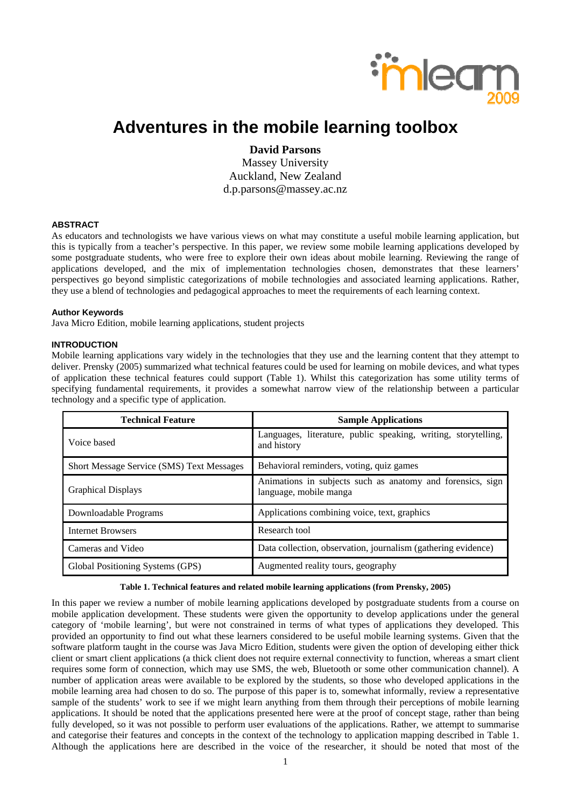

# **Adventures in the mobile learning toolbox**

# **David Parsons**

Massey University Auckland, New Zealand d.p.parsons@massey.ac.nz

### **ABSTRACT**

As educators and technologists we have various views on what may constitute a useful mobile learning application, but this is typically from a teacher's perspective. In this paper, we review some mobile learning applications developed by some postgraduate students, who were free to explore their own ideas about mobile learning. Reviewing the range of applications developed, and the mix of implementation technologies chosen, demonstrates that these learners' perspectives go beyond simplistic categorizations of mobile technologies and associated learning applications. Rather, they use a blend of technologies and pedagogical approaches to meet the requirements of each learning context.

#### **Author Keywords**

Java Micro Edition, mobile learning applications, student projects

#### **INTRODUCTION**

Mobile learning applications vary widely in the technologies that they use and the learning content that they attempt to deliver. Prensky (2005) summarized what technical features could be used for learning on mobile devices, and what types of application these technical features could support (Table 1). Whilst this categorization has some utility terms of specifying fundamental requirements, it provides a somewhat narrow view of the relationship between a particular technology and a specific type of application.

| <b>Technical Feature</b>                  | <b>Sample Applications</b>                                                           |  |  |
|-------------------------------------------|--------------------------------------------------------------------------------------|--|--|
| Voice based                               | Languages, literature, public speaking, writing, storytelling,<br>and history        |  |  |
| Short Message Service (SMS) Text Messages | Behavioral reminders, voting, quiz games                                             |  |  |
| <b>Graphical Displays</b>                 | Animations in subjects such as anatomy and forensics, sign<br>language, mobile manga |  |  |
| Downloadable Programs                     | Applications combining voice, text, graphics                                         |  |  |
| <b>Internet Browsers</b>                  | Research tool                                                                        |  |  |
| Cameras and Video                         | Data collection, observation, journalism (gathering evidence)                        |  |  |
| Global Positioning Systems (GPS)          | Augmented reality tours, geography                                                   |  |  |

# **Table 1. Technical features and related mobile learning applications (from Prensky, 2005)**

In this paper we review a number of mobile learning applications developed by postgraduate students from a course on mobile application development. These students were given the opportunity to develop applications under the general category of 'mobile learning', but were not constrained in terms of what types of applications they developed. This provided an opportunity to find out what these learners considered to be useful mobile learning systems. Given that the software platform taught in the course was Java Micro Edition, students were given the option of developing either thick client or smart client applications (a thick client does not require external connectivity to function, whereas a smart client requires some form of connection, which may use SMS, the web, Bluetooth or some other communication channel). A number of application areas were available to be explored by the students, so those who developed applications in the mobile learning area had chosen to do so. The purpose of this paper is to, somewhat informally, review a representative sample of the students' work to see if we might learn anything from them through their perceptions of mobile learning applications. It should be noted that the applications presented here were at the proof of concept stage, rather than being fully developed, so it was not possible to perform user evaluations of the applications. Rather, we attempt to summarise and categorise their features and concepts in the context of the technology to application mapping described in Table 1. Although the applications here are described in the voice of the researcher, it should be noted that most of the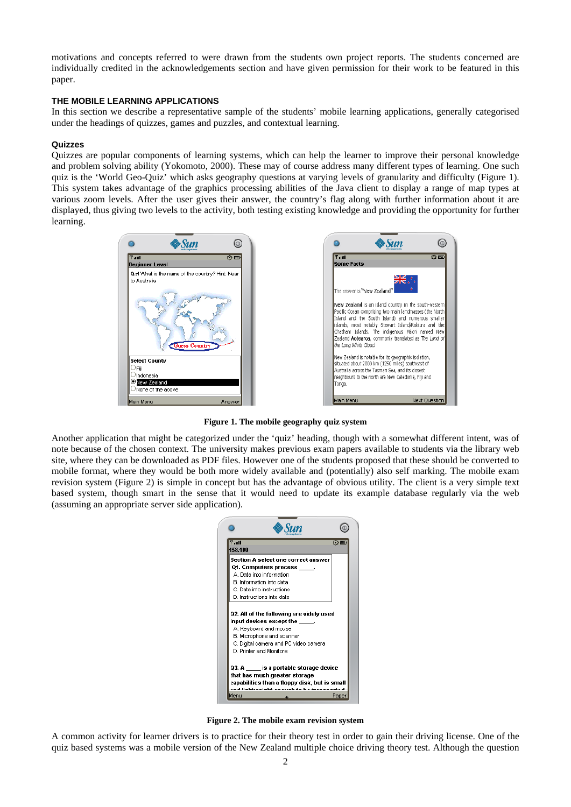motivations and concepts referred to were drawn from the students own project reports. The students concerned are individually credited in the acknowledgements section and have given permission for their work to be featured in this paper.

#### **THE MOBILE LEARNING APPLICATIONS**

In this section we describe a representative sample of the students' mobile learning applications, generally categorised under the headings of quizzes, games and puzzles, and contextual learning.

### **Quizzes**

Quizzes are popular components of learning systems, which can help the learner to improve their personal knowledge and problem solving ability (Yokomoto, 2000). These may of course address many different types of learning. One such quiz is the 'World Geo-Quiz' which asks geography questions at varying levels of granularity and difficulty (Figure 1). This system takes advantage of the graphics processing abilities of the Java client to display a range of map types at various zoom levels. After the user gives their answer, the country's flag along with further information about it are displayed, thus giving two levels to the activity, both testing existing knowledge and providing the opportunity for further learning.



**Figure 1. The mobile geography quiz system** 

Another application that might be categorized under the 'quiz' heading, though with a somewhat different intent, was of note because of the chosen context. The university makes previous exam papers available to students via the library web site, where they can be downloaded as PDF files. However one of the students proposed that these should be converted to mobile format, where they would be both more widely available and (potentially) also self marking. The mobile exam revision system (Figure 2) is simple in concept but has the advantage of obvious utility. The client is a very simple text based system, though smart in the sense that it would need to update its example database regularly via the web (assuming an appropriate server side application).



**Figure 2. The mobile exam revision system** 

A common activity for learner drivers is to practice for their theory test in order to gain their driving license. One of the quiz based systems was a mobile version of the New Zealand multiple choice driving theory test. Although the question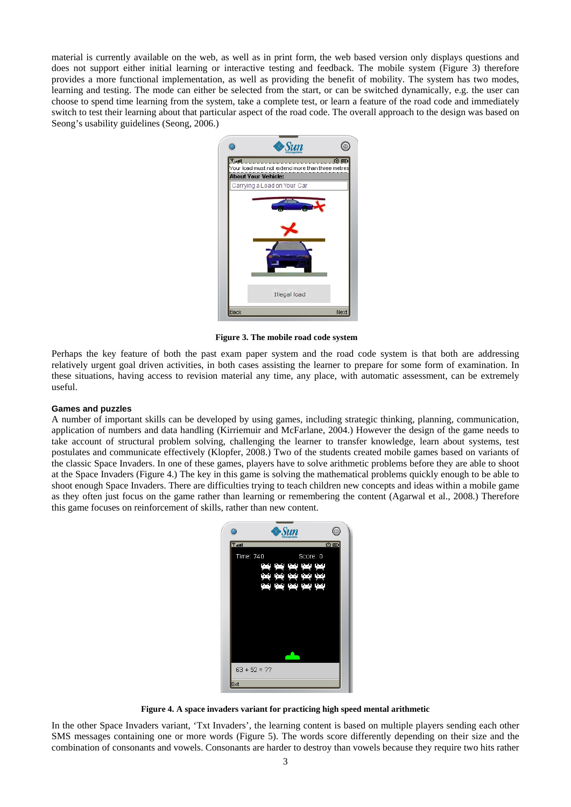material is currently available on the web, as well as in print form, the web based version only displays questions and does not support either initial learning or interactive testing and feedback. The mobile system (Figure 3) therefore provides a more functional implementation, as well as providing the benefit of mobility. The system has two modes, learning and testing. The mode can either be selected from the start, or can be switched dynamically, e.g. the user can choose to spend time learning from the system, take a complete test, or learn a feature of the road code and immediately switch to test their learning about that particular aspect of the road code. The overall approach to the design was based on Seong's usability guidelines (Seong, 2006.)



 **Figure 3. The mobile road code system** 

Perhaps the key feature of both the past exam paper system and the road code system is that both are addressing relatively urgent goal driven activities, in both cases assisting the learner to prepare for some form of examination. In these situations, having access to revision material any time, any place, with automatic assessment, can be extremely useful.

#### **Games and puzzles**

A number of important skills can be developed by using games, including strategic thinking, planning, communication, application of numbers and data handling (Kirriemuir and McFarlane, 2004.) However the design of the game needs to take account of structural problem solving, challenging the learner to transfer knowledge, learn about systems, test postulates and communicate effectively (Klopfer, 2008.) Two of the students created mobile games based on variants of the classic Space Invaders. In one of these games, players have to solve arithmetic problems before they are able to shoot at the Space Invaders (Figure 4.) The key in this game is solving the mathematical problems quickly enough to be able to shoot enough Space Invaders. There are difficulties trying to teach children new concepts and ideas within a mobile game as they often just focus on the game rather than learning or remembering the content (Agarwal et al., 2008.) Therefore this game focuses on reinforcement of skills, rather than new content.



**Figure 4. A space invaders variant for practicing high speed mental arithmetic** 

In the other Space Invaders variant, 'Txt Invaders', the learning content is based on multiple players sending each other SMS messages containing one or more words (Figure 5). The words score differently depending on their size and the combination of consonants and vowels. Consonants are harder to destroy than vowels because they require two hits rather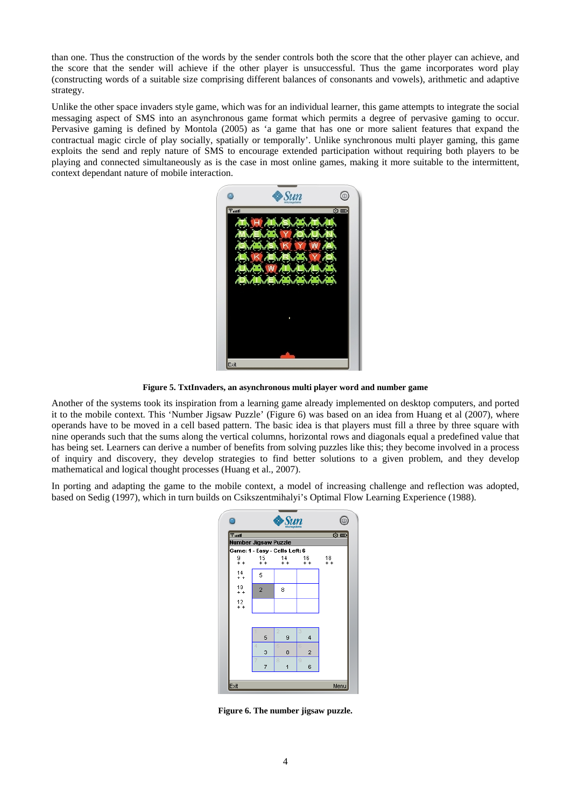than one. Thus the construction of the words by the sender controls both the score that the other player can achieve, and the score that the sender will achieve if the other player is unsuccessful. Thus the game incorporates word play (constructing words of a suitable size comprising different balances of consonants and vowels), arithmetic and adaptive strategy.

Unlike the other space invaders style game, which was for an individual learner, this game attempts to integrate the social messaging aspect of SMS into an asynchronous game format which permits a degree of pervasive gaming to occur. Pervasive gaming is defined by Montola (2005) as 'a game that has one or more salient features that expand the contractual magic circle of play socially, spatially or temporally'. Unlike synchronous multi player gaming, this game exploits the send and reply nature of SMS to encourage extended participation without requiring both players to be playing and connected simultaneously as is the case in most online games, making it more suitable to the intermittent, context dependant nature of mobile interaction.



**Figure 5. TxtInvaders, an asynchronous multi player word and number game** 

Another of the systems took its inspiration from a learning game already implemented on desktop computers, and ported it to the mobile context. This 'Number Jigsaw Puzzle' (Figure 6) was based on an idea from Huang et al (2007), where operands have to be moved in a cell based pattern. The basic idea is that players must fill a three by three square with nine operands such that the sums along the vertical columns, horizontal rows and diagonals equal a predefined value that has being set. Learners can derive a number of benefits from solving puzzles like this; they become involved in a process of inquiry and discovery, they develop strategies to find better solutions to a given problem, and they develop mathematical and logical thought processes (Huang et al., 2007).

In porting and adapting the game to the mobile context, a model of increasing challenge and reflection was adopted, based on Sedig (1997), which in turn builds on Csikszentmihalyi's Optimal Flow Learning Experience (1988).

|                                | Ð                           |             |                         |              |  |  |  |
|--------------------------------|-----------------------------|-------------|-------------------------|--------------|--|--|--|
| $T$ ull                        | <b>Number Jigsaw Puzzle</b> |             |                         | ⊙            |  |  |  |
| Game: 1 - Easy - Cells Left: 6 |                             |             |                         |              |  |  |  |
| 9<br>+ +                       | 15<br>$+ +$                 | 14<br>$+ +$ | 16<br>$+ +$             | $^{18}_{++}$ |  |  |  |
| 14<br>$+ +$                    | 5                           |             |                         |              |  |  |  |
| 19<br>$+ +$                    | $\overline{2}$              | 8           |                         |              |  |  |  |
| $^{12}_{++}$                   |                             |             |                         |              |  |  |  |
|                                |                             |             |                         |              |  |  |  |
|                                | 5                           | 9           | 4                       |              |  |  |  |
|                                | ₫<br>3                      | 8           | $\overline{\mathbf{c}}$ |              |  |  |  |
|                                | 7                           | 8<br>1      | 9<br>6                  |              |  |  |  |
|                                |                             |             |                         |              |  |  |  |
| Exit                           |                             |             |                         | Menu         |  |  |  |

**Figure 6. The number jigsaw puzzle.**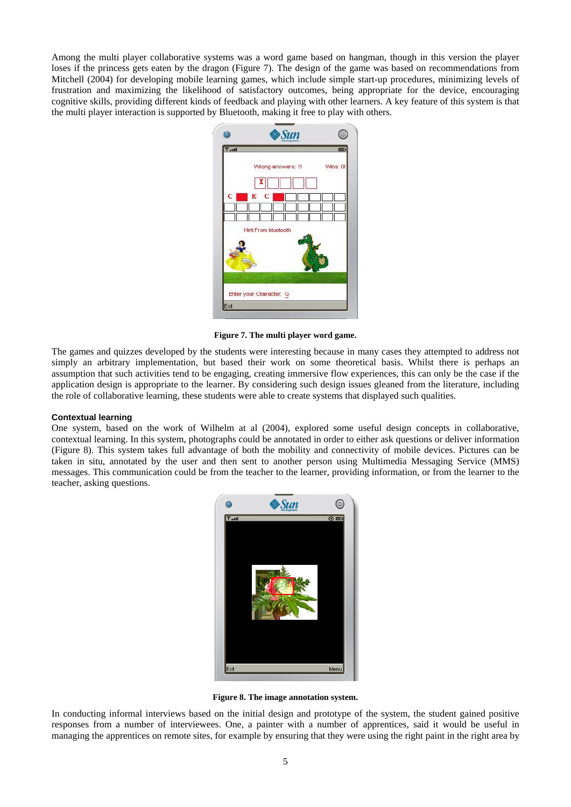Among the multi player collaborative systems was a word game based on hangman, though in this version the player loses if the princess gets eaten by the dragon (Figure 7). The design of the game was based on recommendations from Mitchell (2004) for developing mobile learning games, which include simple start-up procedures, minimizing levels of frustration and maximizing the likelihood of satisfactory outcomes, being appropriate for the device, encouraging cognitive skills, providing different kinds of feedback and playing with other learners. A key feature of this system is that the multi player interaction is supported by Bluetooth, making it free to play with others.



**Figure 7. The multi player word game.** 

The games and quizzes developed by the students were interesting because in many cases they attempted to address not simply an arbitrary implementation, but based their work on some theoretical basis. Whilst there is perhaps an assumption that such activities tend to be engaging, creating immersive flow experiences, this can only be the case if the application design is appropriate to the learner. By considering such design issues gleaned from the literature, including the role of collaborative learning, these students were able to create systems that displayed such qualities.

#### **Contextual learning**

One system, based on the work of Wilhelm at al (2004), explored some useful design concepts in collaborative, contextual learning. In this system, photographs could be annotated in order to either ask questions or deliver information (Figure 8). This system takes full advantage of both the mobility and connectivity of mobile devices. Pictures can be taken in situ, annotated by the user and then sent to another person using Multimedia Messaging Service (MMS) messages. This communication could be from the teacher to the learner, providing information, or from the learner to the teacher, asking questions.



**Figure 8. The image annotation system.** 

In conducting informal interviews based on the initial design and prototype of the system, the student gained positive responses from a number of interviewees. One, a painter with a number of apprentices, said it would be useful in managing the apprentices on remote sites, for example by ensuring that they were using the right paint in the right area by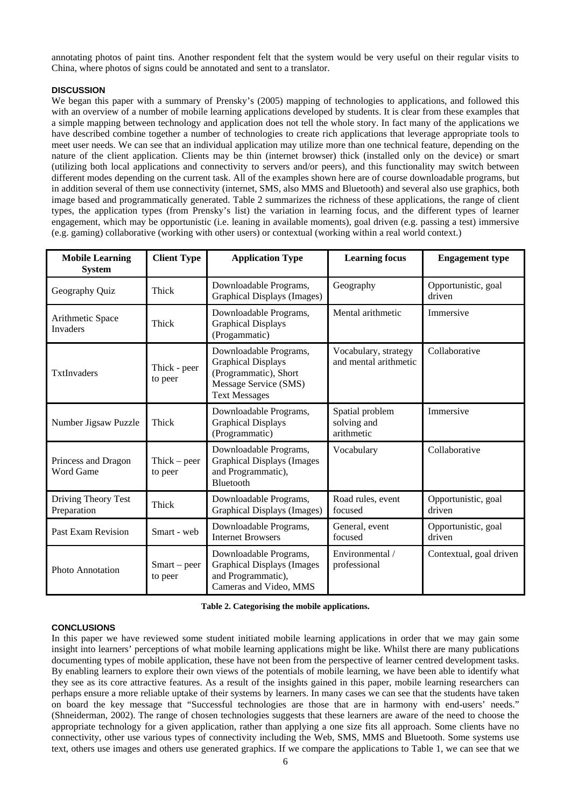annotating photos of paint tins. Another respondent felt that the system would be very useful on their regular visits to China, where photos of signs could be annotated and sent to a translator.

# **DISCUSSION**

We began this paper with a summary of Prensky's (2005) mapping of technologies to applications, and followed this with an overview of a number of mobile learning applications developed by students. It is clear from these examples that a simple mapping between technology and application does not tell the whole story. In fact many of the applications we have described combine together a number of technologies to create rich applications that leverage appropriate tools to meet user needs. We can see that an individual application may utilize more than one technical feature, depending on the nature of the client application. Clients may be thin (internet browser) thick (installed only on the device) or smart (utilizing both local applications and connectivity to servers and/or peers), and this functionality may switch between different modes depending on the current task. All of the examples shown here are of course downloadable programs, but in addition several of them use connectivity (internet, SMS, also MMS and Bluetooth) and several also use graphics, both image based and programmatically generated. Table 2 summarizes the richness of these applications, the range of client types, the application types (from Prensky's list) the variation in learning focus, and the different types of learner engagement, which may be opportunistic (i.e. leaning in available moments), goal driven (e.g. passing a test) immersive (e.g. gaming) collaborative (working with other users) or contextual (working within a real world context.)

| <b>Mobile Learning</b><br><b>System</b> | <b>Client Type</b>                  | <b>Application Type</b>                                                                                                       | <b>Learning focus</b>                         | <b>Engagement</b> type        |
|-----------------------------------------|-------------------------------------|-------------------------------------------------------------------------------------------------------------------------------|-----------------------------------------------|-------------------------------|
| Geography Quiz                          | Thick                               | Downloadable Programs,<br><b>Graphical Displays (Images)</b>                                                                  | Geography                                     | Opportunistic, goal<br>driven |
| Arithmetic Space<br><b>Invaders</b>     | Thick                               | Downloadable Programs,<br><b>Graphical Displays</b><br>(Progammatic)                                                          | Mental arithmetic                             | Immersive                     |
| TxtInvaders                             | Thick - peer<br>to peer             | Downloadable Programs,<br><b>Graphical Displays</b><br>(Programmatic), Short<br>Message Service (SMS)<br><b>Text Messages</b> | Vocabulary, strategy<br>and mental arithmetic | Collaborative                 |
| Number Jigsaw Puzzle                    | Thick                               | Downloadable Programs,<br><b>Graphical Displays</b><br>(Programmatic)                                                         | Spatial problem<br>solving and<br>arithmetic  | Immersive                     |
| Princess and Dragon<br>Word Game        | $Thick - peer$<br>to peer           | Downloadable Programs,<br><b>Graphical Displays (Images</b><br>and Programmatic),<br>Bluetooth                                | Vocabulary                                    | Collaborative                 |
| Driving Theory Test<br>Preparation      | Thick                               | Downloadable Programs,<br><b>Graphical Displays (Images)</b>                                                                  | Road rules, event<br>focused                  | Opportunistic, goal<br>driven |
| Past Exam Revision                      | Smart - web                         | Downloadable Programs,<br><b>Internet Browsers</b>                                                                            | General, event<br>focused                     | Opportunistic, goal<br>driven |
| <b>Photo Annotation</b>                 | S <sub>mart</sub> – peer<br>to peer | Downloadable Programs,<br><b>Graphical Displays (Images</b><br>and Programmatic),<br>Cameras and Video, MMS                   | Environmental /<br>professional               | Contextual, goal driven       |

**Table 2. Categorising the mobile applications.** 

# **CONCLUSIONS**

In this paper we have reviewed some student initiated mobile learning applications in order that we may gain some insight into learners' perceptions of what mobile learning applications might be like. Whilst there are many publications documenting types of mobile application, these have not been from the perspective of learner centred development tasks. By enabling learners to explore their own views of the potentials of mobile learning, we have been able to identify what they see as its core attractive features. As a result of the insights gained in this paper, mobile learning researchers can perhaps ensure a more reliable uptake of their systems by learners. In many cases we can see that the students have taken on board the key message that "Successful technologies are those that are in harmony with end-users' needs." (Shneiderman, 2002). The range of chosen technologies suggests that these learners are aware of the need to choose the appropriate technology for a given application, rather than applying a one size fits all approach. Some clients have no connectivity, other use various types of connectivity including the Web, SMS, MMS and Bluetooth. Some systems use text, others use images and others use generated graphics. If we compare the applications to Table 1, we can see that we